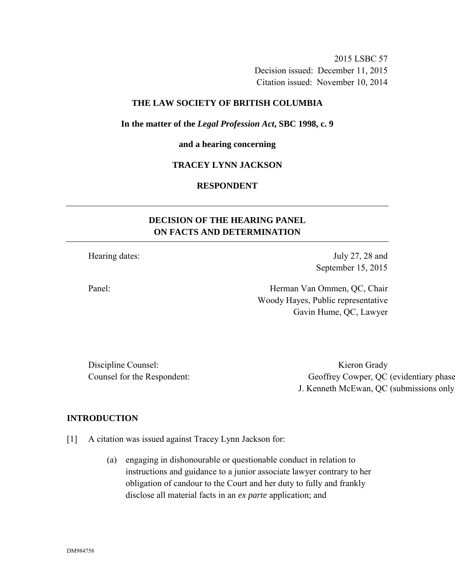2015 LSBC 57 Decision issued: December 11, 2015 Citation issued: November 10, 2014

### **THE LAW SOCIETY OF BRITISH COLUMBIA**

#### **In the matter of the** *Legal Profession Act***, SBC 1998, c. 9**

#### **and a hearing concerning**

### **TRACEY LYNN JACKSON**

### **RESPONDENT**

# **DECISION OF THE HEARING PANEL ON FACTS AND DETERMINATION**

Hearing dates: July 27, 28 and September 15, 2015

Panel: Herman Van Ommen, QC, Chair Woody Hayes, Public representative Gavin Hume, QC, Lawyer

Discipline Counsel: Kieron Grady

Counsel for the Respondent: Geoffrey Cowper, QC (evidentiary phase) J. Kenneth McEwan, QC (submissions only)

#### **INTRODUCTION**

[1] A citation was issued against Tracey Lynn Jackson for:

(a) engaging in dishonourable or questionable conduct in relation to instructions and guidance to a junior associate lawyer contrary to her obligation of candour to the Court and her duty to fully and frankly disclose all material facts in an *ex parte* application; and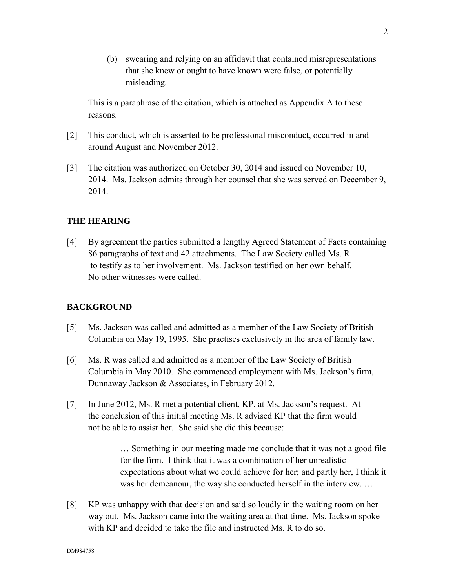(b) swearing and relying on an affidavit that contained misrepresentations that she knew or ought to have known were false, or potentially misleading.

This is a paraphrase of the citation, which is attached as Appendix A to these reasons.

- [2] This conduct, which is asserted to be professional misconduct, occurred in and around August and November 2012.
- [3] The citation was authorized on October 30, 2014 and issued on November 10, 2014. Ms. Jackson admits through her counsel that she was served on December 9, 2014.

## **THE HEARING**

[4] By agreement the parties submitted a lengthy Agreed Statement of Facts containing 86 paragraphs of text and 42 attachments. The Law Society called Ms. R to testify as to her involvement. Ms. Jackson testified on her own behalf. No other witnesses were called.

### **BACKGROUND**

- [5] Ms. Jackson was called and admitted as a member of the Law Society of British Columbia on May 19, 1995. She practises exclusively in the area of family law.
- [6] Ms. R was called and admitted as a member of the Law Society of British Columbia in May 2010. She commenced employment with Ms. Jackson's firm, Dunnaway Jackson & Associates, in February 2012.
- [7] In June 2012, Ms. R met a potential client, KP, at Ms. Jackson's request. At the conclusion of this initial meeting Ms. R advised KP that the firm would not be able to assist her. She said she did this because:

… Something in our meeting made me conclude that it was not a good file for the firm. I think that it was a combination of her unrealistic expectations about what we could achieve for her; and partly her, I think it was her demeanour, the way she conducted herself in the interview. …

[8] KP was unhappy with that decision and said so loudly in the waiting room on her way out. Ms. Jackson came into the waiting area at that time. Ms. Jackson spoke with KP and decided to take the file and instructed Ms. R to do so.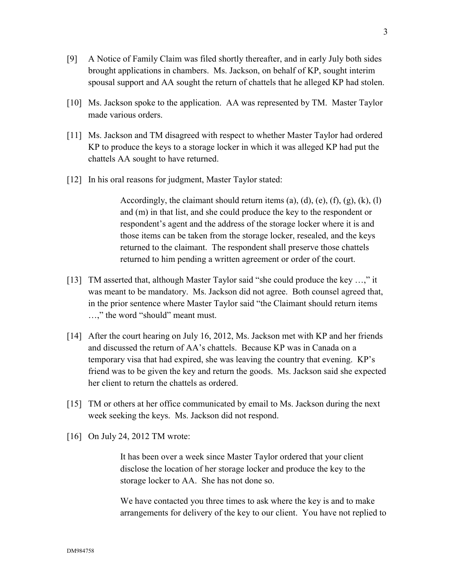- [9] A Notice of Family Claim was filed shortly thereafter, and in early July both sides brought applications in chambers. Ms. Jackson, on behalf of KP, sought interim spousal support and AA sought the return of chattels that he alleged KP had stolen.
- [10] Ms. Jackson spoke to the application. AA was represented by TM. Master Taylor made various orders.
- [11] Ms. Jackson and TM disagreed with respect to whether Master Taylor had ordered KP to produce the keys to a storage locker in which it was alleged KP had put the chattels AA sought to have returned.
- [12] In his oral reasons for judgment, Master Taylor stated:

Accordingly, the claimant should return items (a), (d), (e), (f), (g), (k), (l) and (m) in that list, and she could produce the key to the respondent or respondent's agent and the address of the storage locker where it is and those items can be taken from the storage locker, resealed, and the keys returned to the claimant. The respondent shall preserve those chattels returned to him pending a written agreement or order of the court.

- [13] TM asserted that, although Master Taylor said "she could produce the key …," it was meant to be mandatory. Ms. Jackson did not agree. Both counsel agreed that, in the prior sentence where Master Taylor said "the Claimant should return items …," the word "should" meant must.
- [14] After the court hearing on July 16, 2012, Ms. Jackson met with KP and her friends and discussed the return of AA's chattels. Because KP was in Canada on a temporary visa that had expired, she was leaving the country that evening. KP's friend was to be given the key and return the goods. Ms. Jackson said she expected her client to return the chattels as ordered.
- [15] TM or others at her office communicated by email to Ms. Jackson during the next week seeking the keys. Ms. Jackson did not respond.
- [16] On July 24, 2012 TM wrote:

It has been over a week since Master Taylor ordered that your client disclose the location of her storage locker and produce the key to the storage locker to AA. She has not done so.

We have contacted you three times to ask where the key is and to make arrangements for delivery of the key to our client. You have not replied to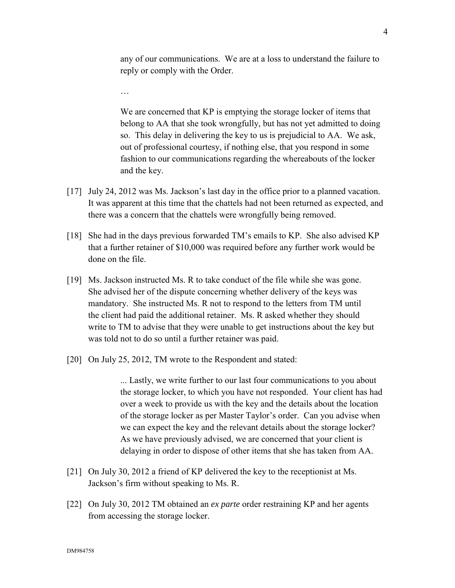any of our communications. We are at a loss to understand the failure to reply or comply with the Order.

We are concerned that KP is emptying the storage locker of items that belong to AA that she took wrongfully, but has not yet admitted to doing so. This delay in delivering the key to us is prejudicial to AA. We ask, out of professional courtesy, if nothing else, that you respond in some fashion to our communications regarding the whereabouts of the locker and the key.

- [17] July 24, 2012 was Ms. Jackson's last day in the office prior to a planned vacation. It was apparent at this time that the chattels had not been returned as expected, and there was a concern that the chattels were wrongfully being removed.
- [18] She had in the days previous forwarded TM's emails to KP. She also advised KP that a further retainer of \$10,000 was required before any further work would be done on the file.
- [19] Ms. Jackson instructed Ms. R to take conduct of the file while she was gone. She advised her of the dispute concerning whether delivery of the keys was mandatory. She instructed Ms. R not to respond to the letters from TM until the client had paid the additional retainer. Ms. R asked whether they should write to TM to advise that they were unable to get instructions about the key but was told not to do so until a further retainer was paid.
- [20] On July 25, 2012, TM wrote to the Respondent and stated:

…

... Lastly, we write further to our last four communications to you about the storage locker, to which you have not responded. Your client has had over a week to provide us with the key and the details about the location of the storage locker as per Master Taylor's order. Can you advise when we can expect the key and the relevant details about the storage locker? As we have previously advised, we are concerned that your client is delaying in order to dispose of other items that she has taken from AA.

- [21] On July 30, 2012 a friend of KP delivered the key to the receptionist at Ms. Jackson's firm without speaking to Ms. R.
- [22] On July 30, 2012 TM obtained an *ex parte* order restraining KP and her agents from accessing the storage locker.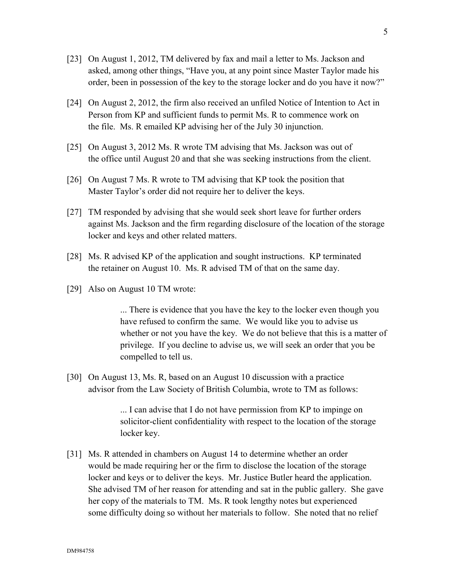- [23] On August 1, 2012, TM delivered by fax and mail a letter to Ms. Jackson and asked, among other things, "Have you, at any point since Master Taylor made his order, been in possession of the key to the storage locker and do you have it now?"
- [24] On August 2, 2012, the firm also received an unfiled Notice of Intention to Act in Person from KP and sufficient funds to permit Ms. R to commence work on the file. Ms. R emailed KP advising her of the July 30 injunction.
- [25] On August 3, 2012 Ms. R wrote TM advising that Ms. Jackson was out of the office until August 20 and that she was seeking instructions from the client.
- [26] On August 7 Ms. R wrote to TM advising that KP took the position that Master Taylor's order did not require her to deliver the keys.
- [27] TM responded by advising that she would seek short leave for further orders against Ms. Jackson and the firm regarding disclosure of the location of the storage locker and keys and other related matters.
- [28] Ms. R advised KP of the application and sought instructions. KP terminated the retainer on August 10. Ms. R advised TM of that on the same day.
- [29] Also on August 10 TM wrote:

... There is evidence that you have the key to the locker even though you have refused to confirm the same. We would like you to advise us whether or not you have the key. We do not believe that this is a matter of privilege. If you decline to advise us, we will seek an order that you be compelled to tell us.

[30] On August 13, Ms. R, based on an August 10 discussion with a practice advisor from the Law Society of British Columbia, wrote to TM as follows:

> ... I can advise that I do not have permission from KP to impinge on solicitor-client confidentiality with respect to the location of the storage locker key.

[31] Ms. R attended in chambers on August 14 to determine whether an order would be made requiring her or the firm to disclose the location of the storage locker and keys or to deliver the keys. Mr. Justice Butler heard the application. She advised TM of her reason for attending and sat in the public gallery. She gave her copy of the materials to TM. Ms. R took lengthy notes but experienced some difficulty doing so without her materials to follow. She noted that no relief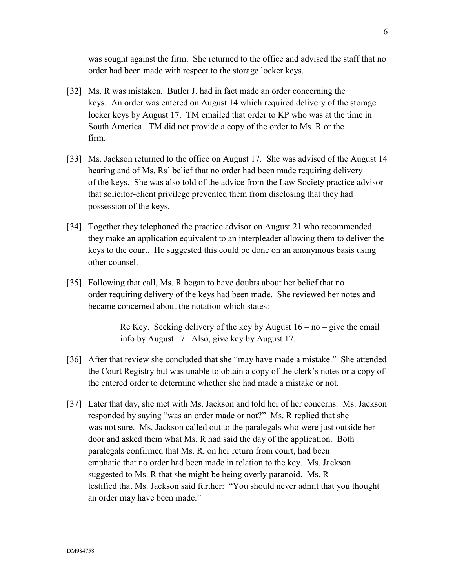was sought against the firm. She returned to the office and advised the staff that no order had been made with respect to the storage locker keys.

- [32] Ms. R was mistaken. Butler J. had in fact made an order concerning the keys. An order was entered on August 14 which required delivery of the storage locker keys by August 17. TM emailed that order to KP who was at the time in South America. TM did not provide a copy of the order to Ms. R or the firm.
- [33] Ms. Jackson returned to the office on August 17. She was advised of the August 14 hearing and of Ms. Rs' belief that no order had been made requiring delivery of the keys. She was also told of the advice from the Law Society practice advisor that solicitor-client privilege prevented them from disclosing that they had possession of the keys.
- [34] Together they telephoned the practice advisor on August 21 who recommended they make an application equivalent to an interpleader allowing them to deliver the keys to the court. He suggested this could be done on an anonymous basis using other counsel.
- [35] Following that call, Ms. R began to have doubts about her belief that no order requiring delivery of the keys had been made. She reviewed her notes and became concerned about the notation which states:

Re Key. Seeking delivery of the key by August  $16 - no - give the email$ info by August 17. Also, give key by August 17.

- [36] After that review she concluded that she "may have made a mistake." She attended the Court Registry but was unable to obtain a copy of the clerk's notes or a copy of the entered order to determine whether she had made a mistake or not.
- [37] Later that day, she met with Ms. Jackson and told her of her concerns. Ms. Jackson responded by saying "was an order made or not?" Ms. R replied that she was not sure. Ms. Jackson called out to the paralegals who were just outside her door and asked them what Ms. R had said the day of the application. Both paralegals confirmed that Ms. R, on her return from court, had been emphatic that no order had been made in relation to the key. Ms. Jackson suggested to Ms. R that she might be being overly paranoid. Ms. R testified that Ms. Jackson said further: "You should never admit that you thought an order may have been made."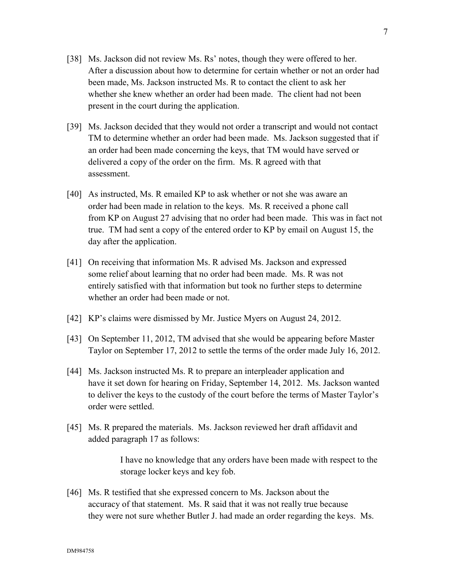- [38] Ms. Jackson did not review Ms. Rs' notes, though they were offered to her. After a discussion about how to determine for certain whether or not an order had been made, Ms. Jackson instructed Ms. R to contact the client to ask her whether she knew whether an order had been made. The client had not been present in the court during the application.
- [39] Ms. Jackson decided that they would not order a transcript and would not contact TM to determine whether an order had been made. Ms. Jackson suggested that if an order had been made concerning the keys, that TM would have served or delivered a copy of the order on the firm. Ms. R agreed with that assessment.
- [40] As instructed, Ms. R emailed KP to ask whether or not she was aware an order had been made in relation to the keys. Ms. R received a phone call from KP on August 27 advising that no order had been made. This was in fact not true. TM had sent a copy of the entered order to KP by email on August 15, the day after the application.
- [41] On receiving that information Ms. R advised Ms. Jackson and expressed some relief about learning that no order had been made. Ms. R was not entirely satisfied with that information but took no further steps to determine whether an order had been made or not.
- [42] KP's claims were dismissed by Mr. Justice Myers on August 24, 2012.
- [43] On September 11, 2012, TM advised that she would be appearing before Master Taylor on September 17, 2012 to settle the terms of the order made July 16, 2012.
- [44] Ms. Jackson instructed Ms. R to prepare an interpleader application and have it set down for hearing on Friday, September 14, 2012. Ms. Jackson wanted to deliver the keys to the custody of the court before the terms of Master Taylor's order were settled.
- [45] Ms. R prepared the materials. Ms. Jackson reviewed her draft affidavit and added paragraph 17 as follows:

I have no knowledge that any orders have been made with respect to the storage locker keys and key fob.

[46] Ms. R testified that she expressed concern to Ms. Jackson about the accuracy of that statement. Ms. R said that it was not really true because they were not sure whether Butler J. had made an order regarding the keys. Ms.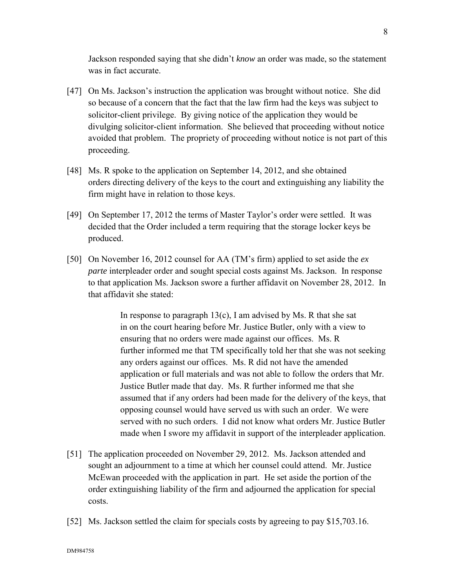Jackson responded saying that she didn't *know* an order was made, so the statement was in fact accurate.

- [47] On Ms. Jackson's instruction the application was brought without notice. She did so because of a concern that the fact that the law firm had the keys was subject to solicitor-client privilege. By giving notice of the application they would be divulging solicitor-client information. She believed that proceeding without notice avoided that problem. The propriety of proceeding without notice is not part of this proceeding.
- [48] Ms. R spoke to the application on September 14, 2012, and she obtained orders directing delivery of the keys to the court and extinguishing any liability the firm might have in relation to those keys.
- [49] On September 17, 2012 the terms of Master Taylor's order were settled. It was decided that the Order included a term requiring that the storage locker keys be produced.
- [50] On November 16, 2012 counsel for AA (TM's firm) applied to set aside the *ex parte* interpleader order and sought special costs against Ms. Jackson. In response to that application Ms. Jackson swore a further affidavit on November 28, 2012. In that affidavit she stated:

In response to paragraph  $13(c)$ , I am advised by Ms. R that she sat in on the court hearing before Mr. Justice Butler, only with a view to ensuring that no orders were made against our offices. Ms. R further informed me that TM specifically told her that she was not seeking any orders against our offices. Ms. R did not have the amended application or full materials and was not able to follow the orders that Mr. Justice Butler made that day. Ms. R further informed me that she assumed that if any orders had been made for the delivery of the keys, that opposing counsel would have served us with such an order. We were served with no such orders. I did not know what orders Mr. Justice Butler made when I swore my affidavit in support of the interpleader application.

- [51] The application proceeded on November 29, 2012. Ms. Jackson attended and sought an adjournment to a time at which her counsel could attend. Mr. Justice McEwan proceeded with the application in part. He set aside the portion of the order extinguishing liability of the firm and adjourned the application for special costs.
- [52] Ms. Jackson settled the claim for specials costs by agreeing to pay \$15,703.16.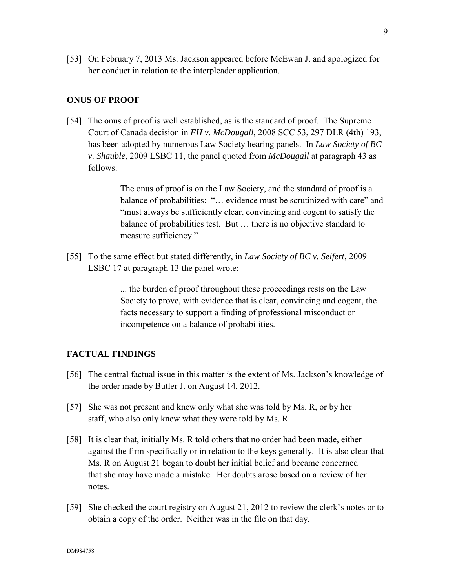[53] On February 7, 2013 Ms. Jackson appeared before McEwan J. and apologized for her conduct in relation to the interpleader application.

#### **ONUS OF PROOF**

[54] The onus of proof is well established, as is the standard of proof. The Supreme Court of Canada decision in *FH v. McDougall*, 2008 SCC 53, 297 DLR (4th) 193, has been adopted by numerous Law Society hearing panels. In *Law Society of BC v. Shauble*, 2009 LSBC 11, the panel quoted from *McDougall* at paragraph 43 as follows:

> The onus of proof is on the Law Society, and the standard of proof is a balance of probabilities: "… evidence must be scrutinized with care" and "must always be sufficiently clear, convincing and cogent to satisfy the balance of probabilities test. But … there is no objective standard to measure sufficiency."

[55] To the same effect but stated differently, in *Law Society of BC v. Seifert*, 2009 LSBC 17 at paragraph 13 the panel wrote:

> ... the burden of proof throughout these proceedings rests on the Law Society to prove, with evidence that is clear, convincing and cogent, the facts necessary to support a finding of professional misconduct or incompetence on a balance of probabilities.

#### **FACTUAL FINDINGS**

- [56] The central factual issue in this matter is the extent of Ms. Jackson's knowledge of the order made by Butler J. on August 14, 2012.
- [57] She was not present and knew only what she was told by Ms. R, or by her staff, who also only knew what they were told by Ms. R.
- [58] It is clear that, initially Ms. R told others that no order had been made, either against the firm specifically or in relation to the keys generally. It is also clear that Ms. R on August 21 began to doubt her initial belief and became concerned that she may have made a mistake. Her doubts arose based on a review of her notes.
- [59] She checked the court registry on August 21, 2012 to review the clerk's notes or to obtain a copy of the order. Neither was in the file on that day.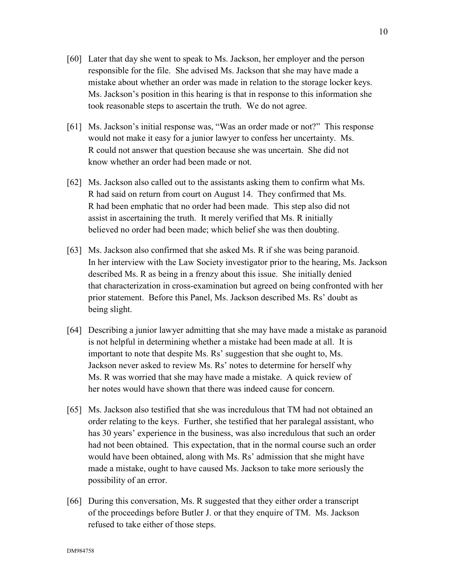- [60] Later that day she went to speak to Ms. Jackson, her employer and the person responsible for the file. She advised Ms. Jackson that she may have made a mistake about whether an order was made in relation to the storage locker keys. Ms. Jackson's position in this hearing is that in response to this information she took reasonable steps to ascertain the truth. We do not agree.
- [61] Ms. Jackson's initial response was, "Was an order made or not?" This response would not make it easy for a junior lawyer to confess her uncertainty. Ms. R could not answer that question because she was uncertain. She did not know whether an order had been made or not.
- [62] Ms. Jackson also called out to the assistants asking them to confirm what Ms. R had said on return from court on August 14. They confirmed that Ms. R had been emphatic that no order had been made. This step also did not assist in ascertaining the truth. It merely verified that Ms. R initially believed no order had been made; which belief she was then doubting.
- [63] Ms. Jackson also confirmed that she asked Ms. R if she was being paranoid. In her interview with the Law Society investigator prior to the hearing, Ms. Jackson described Ms. R as being in a frenzy about this issue. She initially denied that characterization in cross-examination but agreed on being confronted with her prior statement. Before this Panel, Ms. Jackson described Ms. Rs' doubt as being slight.
- [64] Describing a junior lawyer admitting that she may have made a mistake as paranoid is not helpful in determining whether a mistake had been made at all. It is important to note that despite Ms. Rs' suggestion that she ought to, Ms. Jackson never asked to review Ms. Rs' notes to determine for herself why Ms. R was worried that she may have made a mistake. A quick review of her notes would have shown that there was indeed cause for concern.
- [65] Ms. Jackson also testified that she was incredulous that TM had not obtained an order relating to the keys. Further, she testified that her paralegal assistant, who has 30 years' experience in the business, was also incredulous that such an order had not been obtained. This expectation, that in the normal course such an order would have been obtained, along with Ms. Rs' admission that she might have made a mistake, ought to have caused Ms. Jackson to take more seriously the possibility of an error.
- [66] During this conversation, Ms. R suggested that they either order a transcript of the proceedings before Butler J. or that they enquire of TM. Ms. Jackson refused to take either of those steps.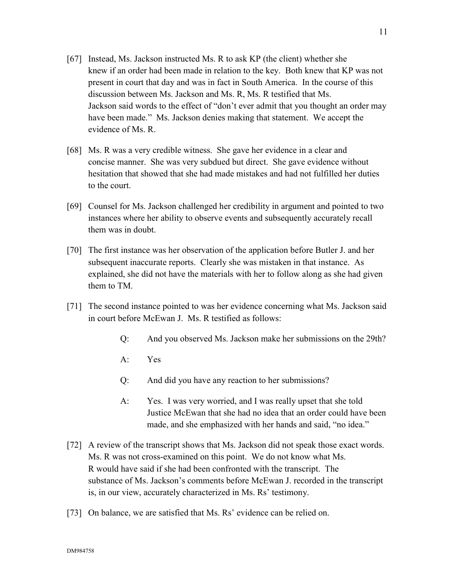- [67] Instead, Ms. Jackson instructed Ms. R to ask KP (the client) whether she knew if an order had been made in relation to the key. Both knew that KP was not present in court that day and was in fact in South America. In the course of this discussion between Ms. Jackson and Ms. R, Ms. R testified that Ms. Jackson said words to the effect of "don't ever admit that you thought an order may have been made." Ms. Jackson denies making that statement. We accept the evidence of Ms. R.
- [68] Ms. R was a very credible witness. She gave her evidence in a clear and concise manner. She was very subdued but direct. She gave evidence without hesitation that showed that she had made mistakes and had not fulfilled her duties to the court.
- [69] Counsel for Ms. Jackson challenged her credibility in argument and pointed to two instances where her ability to observe events and subsequently accurately recall them was in doubt.
- [70] The first instance was her observation of the application before Butler J. and her subsequent inaccurate reports. Clearly she was mistaken in that instance. As explained, she did not have the materials with her to follow along as she had given them to TM.
- [71] The second instance pointed to was her evidence concerning what Ms. Jackson said in court before McEwan J. Ms. R testified as follows:
	- Q: And you observed Ms. Jackson make her submissions on the 29th?
	- A: Yes
	- Q: And did you have any reaction to her submissions?
	- A: Yes. I was very worried, and I was really upset that she told Justice McEwan that she had no idea that an order could have been made, and she emphasized with her hands and said, "no idea."
- [72] A review of the transcript shows that Ms. Jackson did not speak those exact words. Ms. R was not cross-examined on this point. We do not know what Ms. R would have said if she had been confronted with the transcript. The substance of Ms. Jackson's comments before McEwan J. recorded in the transcript is, in our view, accurately characterized in Ms. Rs' testimony.
- [73] On balance, we are satisfied that Ms. Rs' evidence can be relied on.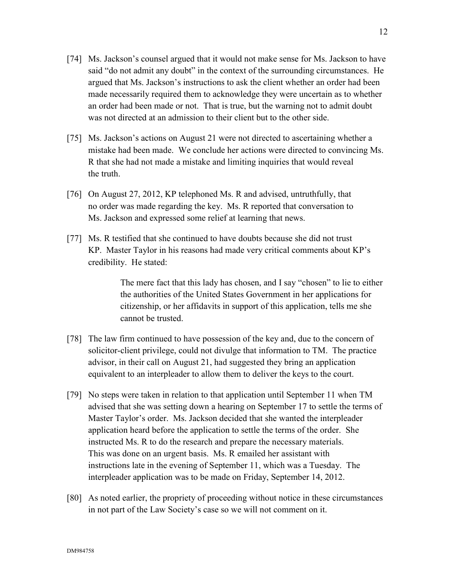- [74] Ms. Jackson's counsel argued that it would not make sense for Ms. Jackson to have said "do not admit any doubt" in the context of the surrounding circumstances. He argued that Ms. Jackson's instructions to ask the client whether an order had been made necessarily required them to acknowledge they were uncertain as to whether an order had been made or not. That is true, but the warning not to admit doubt was not directed at an admission to their client but to the other side.
- [75] Ms. Jackson's actions on August 21 were not directed to ascertaining whether a mistake had been made. We conclude her actions were directed to convincing Ms. R that she had not made a mistake and limiting inquiries that would reveal the truth.
- [76] On August 27, 2012, KP telephoned Ms. R and advised, untruthfully, that no order was made regarding the key. Ms. R reported that conversation to Ms. Jackson and expressed some relief at learning that news.
- [77] Ms. R testified that she continued to have doubts because she did not trust KP. Master Taylor in his reasons had made very critical comments about KP's credibility. He stated:

The mere fact that this lady has chosen, and I say "chosen" to lie to either the authorities of the United States Government in her applications for citizenship, or her affidavits in support of this application, tells me she cannot be trusted.

- [78] The law firm continued to have possession of the key and, due to the concern of solicitor-client privilege, could not divulge that information to TM. The practice advisor, in their call on August 21, had suggested they bring an application equivalent to an interpleader to allow them to deliver the keys to the court.
- [79] No steps were taken in relation to that application until September 11 when TM advised that she was setting down a hearing on September 17 to settle the terms of Master Taylor's order. Ms. Jackson decided that she wanted the interpleader application heard before the application to settle the terms of the order. She instructed Ms. R to do the research and prepare the necessary materials. This was done on an urgent basis. Ms. R emailed her assistant with instructions late in the evening of September 11, which was a Tuesday. The interpleader application was to be made on Friday, September 14, 2012.
- [80] As noted earlier, the propriety of proceeding without notice in these circumstances in not part of the Law Society's case so we will not comment on it.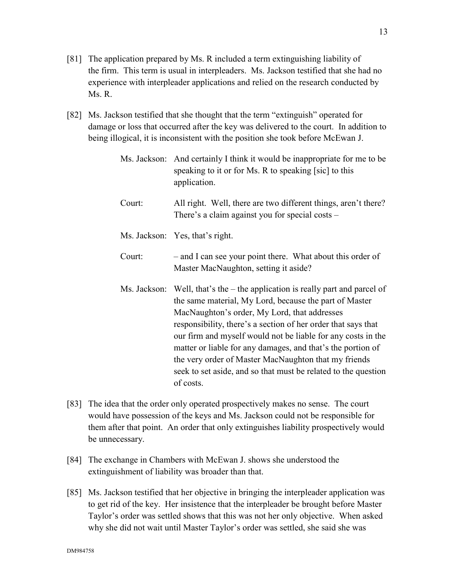- [81] The application prepared by Ms. R included a term extinguishing liability of the firm. This term is usual in interpleaders. Ms. Jackson testified that she had no experience with interpleader applications and relied on the research conducted by Ms. R.
- [82] Ms. Jackson testified that she thought that the term "extinguish" operated for damage or loss that occurred after the key was delivered to the court. In addition to being illogical, it is inconsistent with the position she took before McEwan J.

|        | Ms. Jackson: And certainly I think it would be inappropriate for me to be<br>speaking to it or for Ms. R to speaking [sic] to this<br>application.                                                                                                                                                                                                                                                                                                                                                                              |
|--------|---------------------------------------------------------------------------------------------------------------------------------------------------------------------------------------------------------------------------------------------------------------------------------------------------------------------------------------------------------------------------------------------------------------------------------------------------------------------------------------------------------------------------------|
| Court: | All right. Well, there are two different things, aren't there?<br>There's a claim against you for special costs –                                                                                                                                                                                                                                                                                                                                                                                                               |
|        | Ms. Jackson: Yes, that's right.                                                                                                                                                                                                                                                                                                                                                                                                                                                                                                 |
| Court: | - and I can see your point there. What about this order of<br>Master MacNaughton, setting it aside?                                                                                                                                                                                                                                                                                                                                                                                                                             |
|        | Ms. Jackson: Well, that's the $-$ the application is really part and parcel of<br>the same material, My Lord, because the part of Master<br>MacNaughton's order, My Lord, that addresses<br>responsibility, there's a section of her order that says that<br>our firm and myself would not be liable for any costs in the<br>matter or liable for any damages, and that's the portion of<br>the very order of Master MacNaughton that my friends<br>seek to set aside, and so that must be related to the question<br>of costs. |

- [83] The idea that the order only operated prospectively makes no sense. The court would have possession of the keys and Ms. Jackson could not be responsible for them after that point. An order that only extinguishes liability prospectively would be unnecessary.
- [84] The exchange in Chambers with McEwan J. shows she understood the extinguishment of liability was broader than that.
- [85] Ms. Jackson testified that her objective in bringing the interpleader application was to get rid of the key. Her insistence that the interpleader be brought before Master Taylor's order was settled shows that this was not her only objective. When asked why she did not wait until Master Taylor's order was settled, she said she was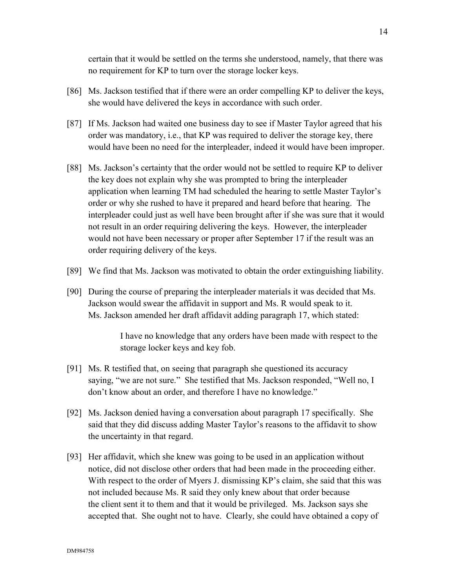certain that it would be settled on the terms she understood, namely, that there was no requirement for KP to turn over the storage locker keys.

- [86] Ms. Jackson testified that if there were an order compelling KP to deliver the keys, she would have delivered the keys in accordance with such order.
- [87] If Ms. Jackson had waited one business day to see if Master Taylor agreed that his order was mandatory, i.e., that KP was required to deliver the storage key, there would have been no need for the interpleader, indeed it would have been improper.
- [88] Ms. Jackson's certainty that the order would not be settled to require KP to deliver the key does not explain why she was prompted to bring the interpleader application when learning TM had scheduled the hearing to settle Master Taylor's order or why she rushed to have it prepared and heard before that hearing. The interpleader could just as well have been brought after if she was sure that it would not result in an order requiring delivering the keys. However, the interpleader would not have been necessary or proper after September 17 if the result was an order requiring delivery of the keys.
- [89] We find that Ms. Jackson was motivated to obtain the order extinguishing liability.
- [90] During the course of preparing the interpleader materials it was decided that Ms. Jackson would swear the affidavit in support and Ms. R would speak to it. Ms. Jackson amended her draft affidavit adding paragraph 17, which stated:

I have no knowledge that any orders have been made with respect to the storage locker keys and key fob.

- [91] Ms. R testified that, on seeing that paragraph she questioned its accuracy saying, "we are not sure." She testified that Ms. Jackson responded, "Well no, I don't know about an order, and therefore I have no knowledge."
- [92] Ms. Jackson denied having a conversation about paragraph 17 specifically. She said that they did discuss adding Master Taylor's reasons to the affidavit to show the uncertainty in that regard.
- [93] Her affidavit, which she knew was going to be used in an application without notice, did not disclose other orders that had been made in the proceeding either. With respect to the order of Myers J. dismissing KP's claim, she said that this was not included because Ms. R said they only knew about that order because the client sent it to them and that it would be privileged. Ms. Jackson says she accepted that. She ought not to have. Clearly, she could have obtained a copy of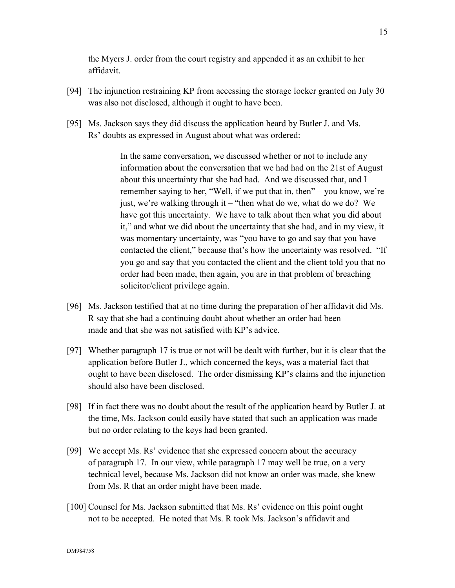the Myers J. order from the court registry and appended it as an exhibit to her affidavit.

- [94] The injunction restraining KP from accessing the storage locker granted on July 30 was also not disclosed, although it ought to have been.
- [95] Ms. Jackson says they did discuss the application heard by Butler J. and Ms. Rs' doubts as expressed in August about what was ordered:

In the same conversation, we discussed whether or not to include any information about the conversation that we had had on the 21st of August about this uncertainty that she had had. And we discussed that, and I remember saying to her, "Well, if we put that in, then" – you know, we're just, we're walking through it – "then what do we, what do we do? We have got this uncertainty. We have to talk about then what you did about it," and what we did about the uncertainty that she had, and in my view, it was momentary uncertainty, was "you have to go and say that you have contacted the client," because that's how the uncertainty was resolved. "If you go and say that you contacted the client and the client told you that no order had been made, then again, you are in that problem of breaching solicitor/client privilege again.

- [96] Ms. Jackson testified that at no time during the preparation of her affidavit did Ms. R say that she had a continuing doubt about whether an order had been made and that she was not satisfied with KP's advice.
- [97] Whether paragraph 17 is true or not will be dealt with further, but it is clear that the application before Butler J., which concerned the keys, was a material fact that ought to have been disclosed. The order dismissing KP's claims and the injunction should also have been disclosed.
- [98] If in fact there was no doubt about the result of the application heard by Butler J. at the time, Ms. Jackson could easily have stated that such an application was made but no order relating to the keys had been granted.
- [99] We accept Ms. Rs' evidence that she expressed concern about the accuracy of paragraph 17. In our view, while paragraph 17 may well be true, on a very technical level, because Ms. Jackson did not know an order was made, she knew from Ms. R that an order might have been made.
- [100] Counsel for Ms. Jackson submitted that Ms. Rs' evidence on this point ought not to be accepted. He noted that Ms. R took Ms. Jackson's affidavit and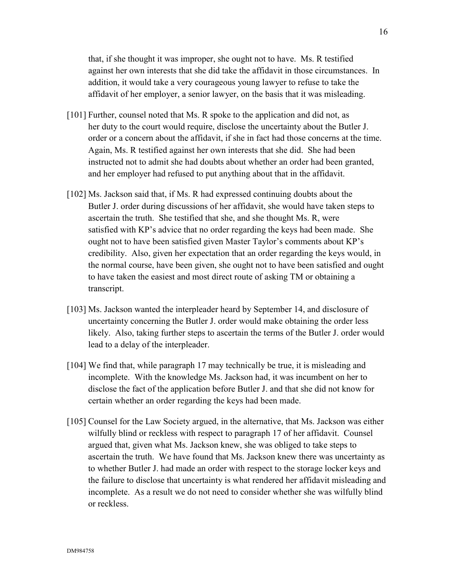that, if she thought it was improper, she ought not to have. Ms. R testified against her own interests that she did take the affidavit in those circumstances. In addition, it would take a very courageous young lawyer to refuse to take the affidavit of her employer, a senior lawyer, on the basis that it was misleading.

- [101] Further, counsel noted that Ms. R spoke to the application and did not, as her duty to the court would require, disclose the uncertainty about the Butler J. order or a concern about the affidavit, if she in fact had those concerns at the time. Again, Ms. R testified against her own interests that she did. She had been instructed not to admit she had doubts about whether an order had been granted, and her employer had refused to put anything about that in the affidavit.
- [102] Ms. Jackson said that, if Ms. R had expressed continuing doubts about the Butler J. order during discussions of her affidavit, she would have taken steps to ascertain the truth. She testified that she, and she thought Ms. R, were satisfied with KP's advice that no order regarding the keys had been made. She ought not to have been satisfied given Master Taylor's comments about KP's credibility. Also, given her expectation that an order regarding the keys would, in the normal course, have been given, she ought not to have been satisfied and ought to have taken the easiest and most direct route of asking TM or obtaining a transcript.
- [103] Ms. Jackson wanted the interpleader heard by September 14, and disclosure of uncertainty concerning the Butler J. order would make obtaining the order less likely. Also, taking further steps to ascertain the terms of the Butler J. order would lead to a delay of the interpleader.
- [104] We find that, while paragraph 17 may technically be true, it is misleading and incomplete. With the knowledge Ms. Jackson had, it was incumbent on her to disclose the fact of the application before Butler J. and that she did not know for certain whether an order regarding the keys had been made.
- [105] Counsel for the Law Society argued, in the alternative, that Ms. Jackson was either wilfully blind or reckless with respect to paragraph 17 of her affidavit. Counsel argued that, given what Ms. Jackson knew, she was obliged to take steps to ascertain the truth. We have found that Ms. Jackson knew there was uncertainty as to whether Butler J. had made an order with respect to the storage locker keys and the failure to disclose that uncertainty is what rendered her affidavit misleading and incomplete. As a result we do not need to consider whether she was wilfully blind or reckless.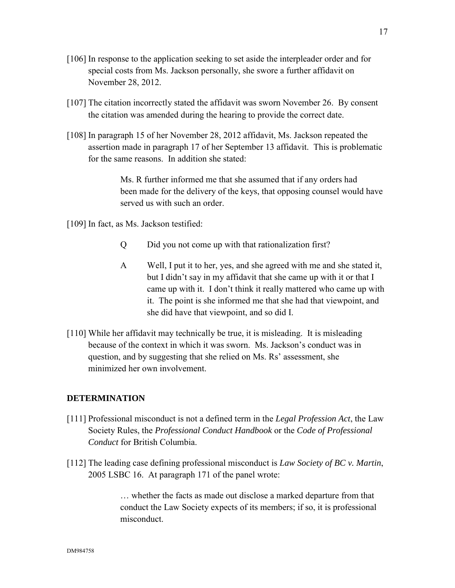- [106] In response to the application seeking to set aside the interpleader order and for special costs from Ms. Jackson personally, she swore a further affidavit on November 28, 2012.
- [107] The citation incorrectly stated the affidavit was sworn November 26. By consent the citation was amended during the hearing to provide the correct date.
- [108] In paragraph 15 of her November 28, 2012 affidavit, Ms. Jackson repeated the assertion made in paragraph 17 of her September 13 affidavit. This is problematic for the same reasons. In addition she stated:

Ms. R further informed me that she assumed that if any orders had been made for the delivery of the keys, that opposing counsel would have served us with such an order.

[109] In fact, as Ms. Jackson testified:

- Q Did you not come up with that rationalization first?
- A Well, I put it to her, yes, and she agreed with me and she stated it, but I didn't say in my affidavit that she came up with it or that I came up with it. I don't think it really mattered who came up with it. The point is she informed me that she had that viewpoint, and she did have that viewpoint, and so did I.
- [110] While her affidavit may technically be true, it is misleading. It is misleading because of the context in which it was sworn. Ms. Jackson's conduct was in question, and by suggesting that she relied on Ms. Rs' assessment, she minimized her own involvement.

### **DETERMINATION**

- [111] Professional misconduct is not a defined term in the *Legal Profession Act*, the Law Society Rules, the *Professional Conduct Handbook* or the *Code of Professional Conduct* for British Columbia.
- [112] The leading case defining professional misconduct is *Law Society of BC v. Martin*, 2005 LSBC 16. At paragraph 171 of the panel wrote:

… whether the facts as made out disclose a marked departure from that conduct the Law Society expects of its members; if so, it is professional misconduct.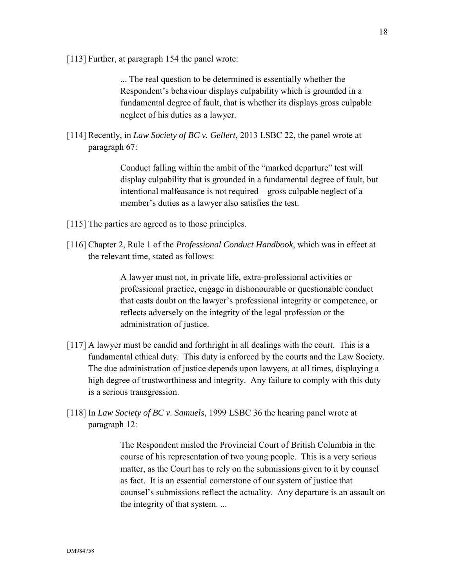[113] Further, at paragraph 154 the panel wrote:

... The real question to be determined is essentially whether the Respondent's behaviour displays culpability which is grounded in a fundamental degree of fault, that is whether its displays gross culpable neglect of his duties as a lawyer.

[114] Recently, in *Law Society of BC v. Gellert*, 2013 LSBC 22, the panel wrote at paragraph 67:

> Conduct falling within the ambit of the "marked departure" test will display culpability that is grounded in a fundamental degree of fault, but intentional malfeasance is not required – gross culpable neglect of a member's duties as a lawyer also satisfies the test.

- [115] The parties are agreed as to those principles.
- [116] Chapter 2, Rule 1 of the *Professional Conduct Handbook*, which was in effect at the relevant time, stated as follows:

A lawyer must not, in private life, extra-professional activities or professional practice, engage in dishonourable or questionable conduct that casts doubt on the lawyer's professional integrity or competence, or reflects adversely on the integrity of the legal profession or the administration of justice.

- [117] A lawyer must be candid and forthright in all dealings with the court. This is a fundamental ethical duty. This duty is enforced by the courts and the Law Society. The due administration of justice depends upon lawyers, at all times, displaying a high degree of trustworthiness and integrity. Any failure to comply with this duty is a serious transgression.
- [118] In *Law Society of BC v. Samuels*, 1999 LSBC 36 the hearing panel wrote at paragraph 12:

The Respondent misled the Provincial Court of British Columbia in the course of his representation of two young people. This is a very serious matter, as the Court has to rely on the submissions given to it by counsel as fact. It is an essential cornerstone of our system of justice that counsel's submissions reflect the actuality. Any departure is an assault on the integrity of that system. ...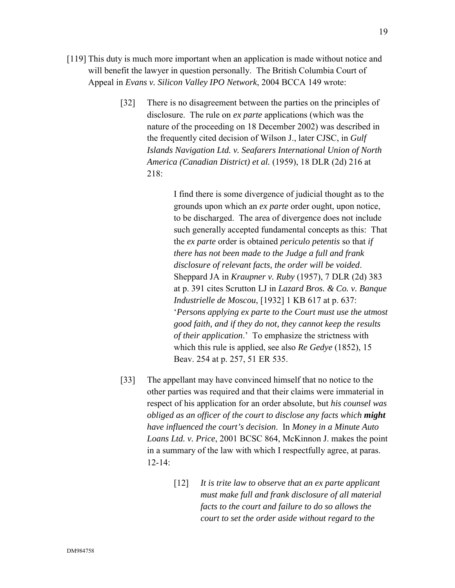- [119] This duty is much more important when an application is made without notice and will benefit the lawyer in question personally. The British Columbia Court of Appeal in *Evans v. Silicon Valley IPO Network*, 2004 BCCA 149 wrote:
	- [32] There is no disagreement between the parties on the principles of disclosure. The rule on *ex parte* applications (which was the nature of the proceeding on 18 December 2002) was described in the frequently cited decision of Wilson J., later CJSC, in *Gulf Islands Navigation Ltd. v. Seafarers International Union of North America (Canadian District) et al.* (1959), 18 DLR (2d) 216 at 218:

I find there is some divergence of judicial thought as to the grounds upon which an *ex parte* order ought, upon notice, to be discharged. The area of divergence does not include such generally accepted fundamental concepts as this: That the *ex parte* order is obtained *periculo petentis* so that *if there has not been made to the Judge a full and frank disclosure of relevant facts, the order will be voided*. Sheppard JA in *Kraupner v. Ruby* (1957), 7 DLR (2d) 383 at p. 391 cites Scrutton LJ in *Lazard Bros. & Co. v. Banque Industrielle de Moscou*, [1932] 1 KB 617 at p. 637: '*Persons applying ex parte to the Court must use the utmost good faith, and if they do not, they cannot keep the results of their application*.' To emphasize the strictness with which this rule is applied, see also *Re Gedye* (1852), 15 Beav. 254 at p. 257, 51 ER 535.

- [33] The appellant may have convinced himself that no notice to the other parties was required and that their claims were immaterial in respect of his application for an order absolute, but *his counsel was obliged as an officer of the court to disclose any facts which might have influenced the court's decision*. In *Money in a Minute Auto Loans Ltd. v. Price*, 2001 BCSC 864, McKinnon J. makes the point in a summary of the law with which I respectfully agree, at paras. 12-14:
	- [12] *It is trite law to observe that an ex parte applicant must make full and frank disclosure of all material facts to the court and failure to do so allows the court to set the order aside without regard to the*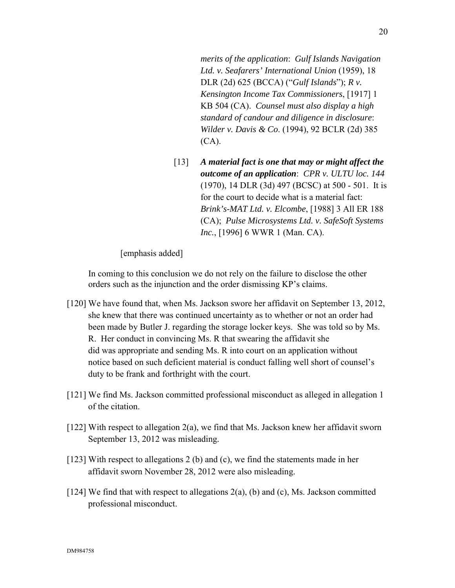*merits of the application*: *Gulf Islands Navigation Ltd. v. Seafarers' International Union* (1959), 18 DLR (2d) 625 (BCCA) ("*Gulf Islands*"); *R v. Kensington Income Tax Commissioners*, [1917] 1 KB 504 (CA). *Counsel must also display a high standard of candour and diligence in disclosure*: *Wilder v. Davis & Co*. (1994), 92 BCLR (2d) 385 (CA).

[13] *A material fact is one that may or might affect the outcome of an application*: *CPR v. ULTU loc. 144*  (1970), 14 DLR (3d) 497 (BCSC) at 500 - 501. It is for the court to decide what is a material fact: *Brink's-MAT Ltd. v. Elcombe*, [1988] 3 All ER 188 (CA); *Pulse Microsystems Ltd. v. SafeSoft Systems Inc.*, [1996] 6 WWR 1 (Man. CA).

[emphasis added]

In coming to this conclusion we do not rely on the failure to disclose the other orders such as the injunction and the order dismissing KP's claims.

- [120] We have found that, when Ms. Jackson swore her affidavit on September 13, 2012, she knew that there was continued uncertainty as to whether or not an order had been made by Butler J. regarding the storage locker keys. She was told so by Ms. R. Her conduct in convincing Ms. R that swearing the affidavit she did was appropriate and sending Ms. R into court on an application without notice based on such deficient material is conduct falling well short of counsel's duty to be frank and forthright with the court.
- [121] We find Ms. Jackson committed professional misconduct as alleged in allegation 1 of the citation.
- [122] With respect to allegation 2(a), we find that Ms. Jackson knew her affidavit sworn September 13, 2012 was misleading.
- [123] With respect to allegations 2 (b) and (c), we find the statements made in her affidavit sworn November 28, 2012 were also misleading.
- [124] We find that with respect to allegations 2(a), (b) and (c), Ms. Jackson committed professional misconduct.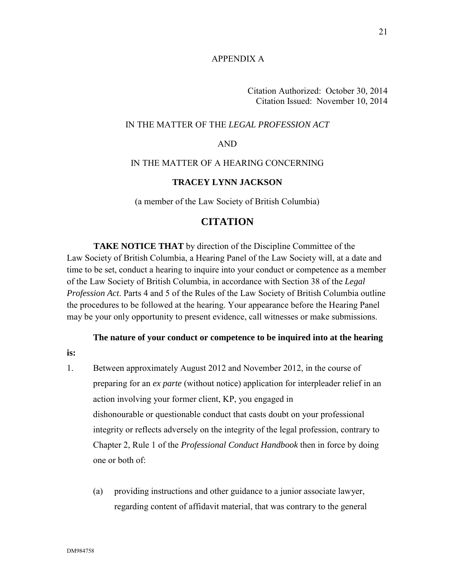### APPENDIX A

Citation Authorized: October 30, 2014 Citation Issued: November 10, 2014

#### IN THE MATTER OF THE *LEGAL PROFESSION ACT*

#### AND

## IN THE MATTER OF A HEARING CONCERNING

#### **TRACEY LYNN JACKSON**

(a member of the Law Society of British Columbia)

# **CITATION**

**TAKE NOTICE THAT** by direction of the Discipline Committee of the Law Society of British Columbia, a Hearing Panel of the Law Society will, at a date and time to be set, conduct a hearing to inquire into your conduct or competence as a member of the Law Society of British Columbia, in accordance with Section 38 of the *Legal Profession Act*. Parts 4 and 5 of the Rules of the Law Society of British Columbia outline the procedures to be followed at the hearing. Your appearance before the Hearing Panel may be your only opportunity to present evidence, call witnesses or make submissions.

**The nature of your conduct or competence to be inquired into at the hearing** 

**is:**

- 1. Between approximately August 2012 and November 2012, in the course of preparing for an *ex parte* (without notice) application for interpleader relief in an action involving your former client, KP, you engaged in dishonourable or questionable conduct that casts doubt on your professional integrity or reflects adversely on the integrity of the legal profession, contrary to Chapter 2, Rule 1 of the *Professional Conduct Handbook* then in force by doing one or both of:
	- (a) providing instructions and other guidance to a junior associate lawyer, regarding content of affidavit material, that was contrary to the general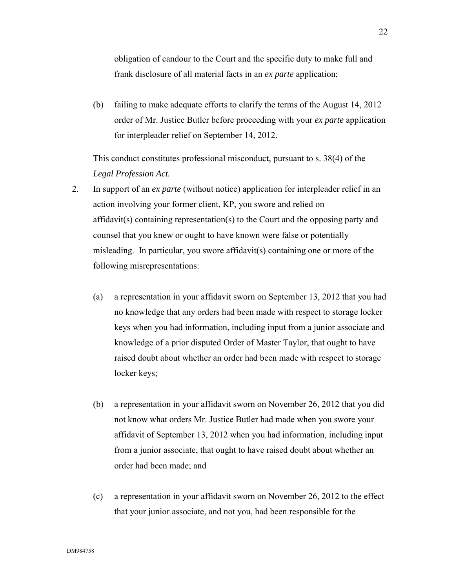obligation of candour to the Court and the specific duty to make full and frank disclosure of all material facts in an *ex parte* application;

(b) failing to make adequate efforts to clarify the terms of the August 14, 2012 order of Mr. Justice Butler before proceeding with your *ex parte* application for interpleader relief on September 14, 2012.

This conduct constitutes professional misconduct, pursuant to s. 38(4) of the *Legal Profession Act.*

- 2. In support of an *ex parte* (without notice) application for interpleader relief in an action involving your former client, KP, you swore and relied on affidavit(s) containing representation(s) to the Court and the opposing party and counsel that you knew or ought to have known were false or potentially misleading. In particular, you swore affidavit(s) containing one or more of the following misrepresentations:
	- (a) a representation in your affidavit sworn on September 13, 2012 that you had no knowledge that any orders had been made with respect to storage locker keys when you had information, including input from a junior associate and knowledge of a prior disputed Order of Master Taylor, that ought to have raised doubt about whether an order had been made with respect to storage locker keys;
	- (b) a representation in your affidavit sworn on November 26, 2012 that you did not know what orders Mr. Justice Butler had made when you swore your affidavit of September 13, 2012 when you had information, including input from a junior associate, that ought to have raised doubt about whether an order had been made; and
	- (c) a representation in your affidavit sworn on November 26, 2012 to the effect that your junior associate, and not you, had been responsible for the